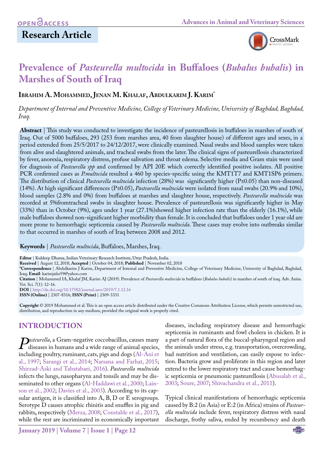

# **Prevalence of** *Pasteurella multocida* **in Buffaloes (***Bubalus bubalis***) in Marshes of South of Iraq**

**Ibrahim A. Mohammed, Jenan M. Khalaf, Abdulkarim J. Karim\*** 

*Department of Internal and Preventive Medicine, College of Veterinary Medicine, University of Baghdad, Baghdad, Iraq.*

**Abstract** | This study was conducted to investigate the incidence of pasteurellosis in buffaloes in marshes of south of Iraq. Out of 5000 buffaloes, 293 (253 from marshes area, 40 from slaughter house) of different ages and sexes, in a period extended from 25/5/2017 to 24/12/2017, were clinically examined. Nasal swabs and blood samples were taken from alive and slaughtered animals, and tracheal swabs from the later. The clinical signs of pasteurellosis characterized by fever, anorexia, respiratory distress, profuse salivation and throat edema. Selective media and Gram stain were used for diagnosis of *Pasteurella spp* and confirmed by API 20E which correctly identified positive isolates. All positive PCR confirmed cases as *P.multocida* resulted a 460 bp species-specific using the KMT1T7 and KMT1SP6 primers. The distribution of clinical *Pasteurella multocida* infection (28%) was significantly higher (P≤0.05) than non-diseased (14%). At high significant differences (P≤0.05), *Pasteurella multocida* were isolated from nasal swabs (20.9% and 10%), blood samples (2.8% and 0%) from buffaloes at marshes and slaughter house, respectively. *Pasteurella multocida* was recorded at 5%fromtracheal swabs in slaughter house. Prevalence of pasteurellosis was significantly higher in May (33%) than in October (9%), ages under 1 year (27.1%)showed higher infection rate than the elderly (16.1%), while male buffaloes showed non-significant higher morbidity than female. It is concluded that buffaloes under 1 year old are more prone to hemorrhagic septicemia caused by *Pasteurella multocida*. These cases may evolve into outbreaks similar to that occurred in marshes of south of Iraq between 2008 and 2012.

**Keywords** | *Pasteurella multocida*, Buffaloes, Marshes, Iraq.

**Editor** | Kuldeep Dhama, Indian Veterinary Research Institute, Uttar Pradesh, India.

**Received** | August 12, 2018; **Accepted** | October 04, 2018; **Published** | November 02, 2018

**\*Correspondence** | Abdulkarim J Karim, Department of Internal and Preventive Medicine, College of Veterinary Medicine, University of Baghdad, Baghdad, Iraq; **Email**: karimjafar59@yahoo.com

**Citation** | Mohammed IA, Khalaf JM, Karim AJ (2019). Prevalence of *Pasteurella multocida* in buffaloes (*Bubalus bubalis*) in marshes of south of iraq. Adv. Anim. Vet. Sci. 7(1): 12-16.

**DOI** | [http://dx.doi.org/10.17582/journal.aavs/201](http://dx.doi.org/10.17582/journal.aavs/2019/7.1.12.16)9/7.1.12.16 **ISSN (Online)** | 2307-8316; **ISSN (Print)** | 2309-3331

**Copyright** © 2019 Mohammed et al. This is an open access article distributed under the Creative Commons Attribution License, which permits unrestricted use, distribution, and reproduction in any medium, provided the original work is properly cited.

### **INTRODUCTION**

*Pasteurella*, a Gram-negative coccobacillus, causes many<br>diseases in humans and a wide range of animal species,<br>including poultry, ruminant, cats, pigs and dogs (Al-Ani et diseases in humans and a wide range of animal species, including poultry, ruminant, cats, pigs and dogs (Al-Ani et al., 1997; [Sarangi et al., 2014;](#page-4-0) Narsana and Farhat, 2015; Shirzad-Aski and Tabatabaei, 2016). *Pasteurella multocida* infects the lungs, nasopharynx and tonsils and may be disseminated to other organs [\(Al-Haddawi et al., 2000](#page-3-0); Lainson et al., 2002; [Davies et al., 2003](#page-4-1)). According to its capsular antigen, it is classified into A, B, D or E serogroups. Serotype D causes atrophic rhinitis and snuffles in pig and rabbits**,** respectively [\(Merza, 2008](#page-4-2); Constable et al., 2017), while the rest are incriminated in economically important

diseases, including respiratory disease and hemorrhagic septicemia in ruminants and fowl cholera in chicken. It is a part of natural flora of the buccal-pharyngeal region and the animals under stress, e.g. transportation, overcrowding, bad nutrition and ventilation, can easily expose to infection. Bacteria grow and proliferate in this region and later extend to the lower respiratory tract and cause hemorrhagic septicemia or pneumonic pasteurellosis [\(Abusalab et al.,](#page-3-1) [2003;](#page-3-1) Soure, 2007; [Shivachandra et al., 2011](#page-4-3)).

Typical clinical manifestations of hemorrhagic septicemia caused by B:2 (in Asia) or E:2 (in Africa) strains of *Pasteurella multocida* include fever, respiratory distress with nasal discharge, frothy saliva, ended by recumbency and death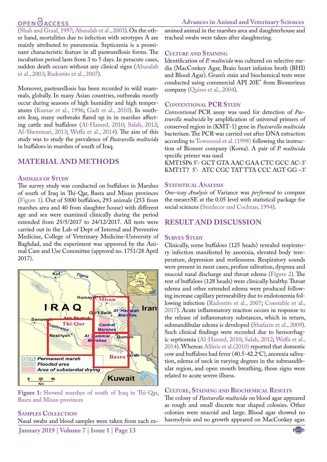# **OPEN OACCESS**

**Advances in Animal and Veterinary Sciences**

[\(Shah and Graaf, 1997;](#page-4-4) [Abusalab et al., 2003](#page-3-1)). On the other hand, mortalities due to infection with serotypes A are mainly attributed to pneumonia. Septicemia is a prominant characteristic feature in all pasteurellosis forms. The incubation period lasts from 3 to 5 days. In peracute cases, sudden death occurs without any clinical signs [\(Abusalab](#page-3-1) [et al., 2003;](#page-3-1) [Radostits et al., 2007](#page-4-5)).

Moreover, pasteurellosis has been recorded in wild mammals, globally. In many Asian countries, outbreaks mostly occur during seasons of high humidity and high temperatures [\(Kumar et al., 1996;](#page-4-6) [Gadi et al., 2010\)](#page-4-7). In southern Iraq, many outbreaks flared up in in marshes affecting cattle and buffaloes [\(Al-Hamed, 2010;](#page-3-2) [Salah, 2012;](#page-4-8) [Al-Shemmari, 2013;](#page-3-3) [Waffa et al., 2014](#page-4-9)). The aim of this study was to study the prevalence of *Pasteurella multocida* in buffaloes in marshes of south of Iraq.

### **MATERIAL AND METHODS**

#### **Animals of Study**

The survey study was conducted on buffaloes in Marshes of south of Iraq in Thi-Qar, Basra and Misan provinces [\(Figure 1\)](#page-1-0). Out of 5000 buffaloes, 293 animals (253 from marshes area and 40 from slaughter house) with different age and sex were examined clinically during the period extended from 25/5/2017 to 24/12/2017. All tests were carried out in the Lab of Dept of Internal and Preventive Medicine, College of Veterinary Medicine-University of Baghdad, and the experiment was approved by the Animal Care and Use Committee (approval no. 1751/28 April 2017).



**Figure 1:** Showed marshes of south of Iraq in Thi-Qar, Basra and Misan provinces

#### <span id="page-1-0"></span>**Samples Collection**

Nasal swabs and blood samples were taken from each ex-

**January 2019 | Volume 7 | Issue 1 | Page 13**

amined animal in the marshes area and slaughterhouse and tracheal swabs were taken after slaughtering.

#### **Culture and Staining**

Identification of *P. multocida* was cultured on selective media (MacConkey Agar, Brain heart infusion broth (BHI) and Blood Agar). Gram's stain and biochemical tests were conducted using commercial API 20E® from Biomerieux company ([Quinn et al., 2004](#page-4-10)).

#### **Conventional PCR Study**

*Conventional* PCR assay was used for detection of *Pasteurella multocida* by amplification of universal primers of conserved region in (KMT-1) gene in *Pasteurella multocida*  bacterium. The PCR was carried out after DNA extraction according to [Townsend et al. \(1998\)](#page-4-11) following the instruction of Bioneer company (Korea). A pair of *P. multocida*  specific primer was used

KMT1SP6 5'- GCT GTA AAC GAA CTC GCC AC-3' KMT1T7 5'- ATC CGC TAT TTA CCC AGT GG –3'

#### **STATISTICAL ANALYSIS**

*One-way Analysis* of Variance was *performed* to compare the mean±SE at the 0.05 level with statistical package for social sciences [\(Snedecor and Cochran, 1994\)](#page-4-12).

### **RESULT AND DISCUSSION**

#### **SURVEY STUDY**

Clinically, some buffaloes (125 heads) revealed respiratory infection manifested by anorexia, elevated body temperature, depression and restlessness. Respiratory sounds were present in most cases, profuse salivation, dyspnea and mucoid nasal discharge and throat edema ([Figure 2](#page-2-0)). The rest of buffaloes (128 heads) were clinically healthy. Throat edema and other extended edema were produced following increase capillary permeability due to endotoxemia following infection [\(Radostits et al., 2007](#page-4-5); Constable et al., 2017). Acute inflammatory reaction occurs in response to the release of inflammatory substances, which in return, submandibular edema is developed ([Shafarin et al., 2009](#page-4-13)). Such clinical findings were recorded due to hemorrhagic septicemia ([Al-Hamed, 2010;](#page-3-2) [Salah, 2012;](#page-4-8) [Waffa et al.,](#page-4-9)  [2014\)](#page-4-9). Whereas [Alfaris et al.\(2010\)](#page-3-4) reported that domestic cow and buffaloes had fever  $(40.5$ -42.2°C), anorexia salivation, edema of neck in varying degrees in the submandibular region, and open mouth breathing, those signs were related to acute severe illness.

#### **Culture, Staining and Biochemical Results**

The colony of *Pasteurella multocida* on blood agar appeared as rough and small discrete tear shaped colonies. Other colonies were mucoid and large. Blood agar showed no haemolysis and no growth appeared on MacConkey agar.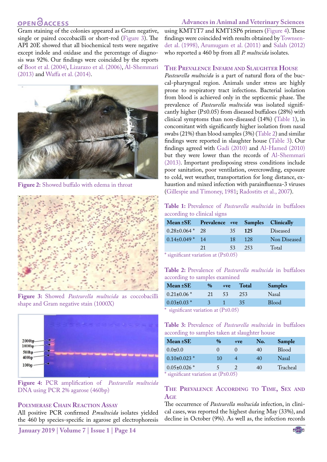### **OPEN GACCESS**

**Advances in Animal and Veterinary Sciences**

Gram staining of the colonies appeared as Gram negative, single or paired coccobacilli or short-rod [\(Figure 3\)](#page-2-1). The API 20E showed that all biochemical tests were negative except indole and oxidase and the percentage of diagnosis was 92%. Our findings were coincided by the reports of [Boot et al. \(2004\),](#page-3-5) Lizarazo et al. (2006), [Al-Shemmari](#page-3-3) [\(2013\)](#page-3-3) and [Waffa et al. \(2014\)](#page-4-9).



**Figure 2:** Showed buffalo with edema in throat

<span id="page-2-0"></span>

**Figure 3:** Showed *Pasteurella multocida* as coccobacilli shape and Gram negative stain (1000X)

<span id="page-2-1"></span>

**Figure 4:** PCR amplification of *Pasteurella multocida* DNA using PCR 2% agarose (460bp)

#### **Polymerase Chain Reaction Assay**

All positive PCR confirmed *P.multocida* isolates yielded the 460 bp species-specific in agarose gel electrophoresis

**January 2019 | Volume 7 | Issue 1 | Page 14**

using KMT1T7 and KMT1SP6 primers (Figure 4). These findings were coincided with results obtained by [Townsen](#page-4-11)[det al. \(1998\),](#page-4-11) Arumugam et al. (2011) and [Salah \(2012\)](#page-4-8) who reported a 460 bp from all *P. multocida* isolates.

#### **The Prevalence Infarm and Slaughter House**

*Pasteurella multocida* is a part of natural flora of the buccal-pharyngeal region. Animals under stress are highly prone to respiratory tract infections. Bacterial isolation from blood is achieved only in the septicemic phase. The prevalence of *Pasteurella multocida* was isolated significantly higher (P≤0.05) from diseased buffaloes (28%) with clinical symptoms than non-diseased (14%) [\(Table 1](#page-2-2)), in concomitant with significantly higher isolation from nasal swabs (21%) than blood samples (3%) [\(Table 2](#page-2-3)) and similar findings were reported in slaughter house ([Table 3](#page-2-4)). Our findings agreed with [Gadi \(2010\)](#page-4-7) and [Al-Hamed \(2010\)](#page-3-2)  but they were lower than the records of [Al-Shemmari](#page-3-3)  [\(2013\).](#page-3-3) Important predisposing stress conditions include poor sanitation, poor ventilation, overcrowding, exposure to cold, wet weather, transportation for long distance, exhaustion and mixed infection with parainfluenza-3 viruses [\(Gillespie and Timoney, 1981;](#page-4-14) [Radostits et al., 2007](#page-4-5)).

<span id="page-2-2"></span>**Table 1:** Prevalence of *Pasteurella multocida* in buffaloes according to clinical signs

| Mean ±SE Prevalence +ve Samples Clinically |    |                            |      |              |
|--------------------------------------------|----|----------------------------|------|--------------|
| $0.28 \pm 0.064$ * 28                      |    | 35.                        | 125  | Diseased     |
| $0.14\pm0.049$ * 14                        |    | 18                         | -128 | Non Diseased |
|                                            | 21 | 53                         | 253  | Total        |
| $\sim$ $\sim$ $\sim$                       |    | $\sqrt{D}$ $\wedge$ $\sim$ |      |              |

significant variation at  $(P \le 0.05)$ 

<span id="page-2-3"></span>**Table 2:** Prevalence of *Pasteurella multocida* in buffaloes according to samples examined

| $Mean \pm SE$                                                                                                             | $\%$ | $+ve$ | <b>Total</b> | <b>Samples</b> |
|---------------------------------------------------------------------------------------------------------------------------|------|-------|--------------|----------------|
| $0.21 \pm 0.06$ *                                                                                                         | 21   | -53   | 253          | <b>Nasal</b>   |
| $0.03 \pm 0.03$ *                                                                                                         |      |       | -35          | <b>Blood</b>   |
| $*$ $\ldots$ $C$ $\ldots$ $\ldots$ $\ldots$ $\ldots$ $\ldots$ $\ldots$ $\ldots$ $\cap$ $\cap$ $\cap$ $\cap$ $\cap$ $\cap$ |      |       |              |                |

significant variation at  $(P \le 0.05)$ 

<span id="page-2-4"></span>**Table 3:** Prevalence of *Pasteurella multocida* in buffaloes according to samples taken at slaughter house

| Mean ±SE                                  | $\%$     | $+ve$ | No. | Sample       |
|-------------------------------------------|----------|-------|-----|--------------|
| $0.0 \pm 0.0$                             | $\theta$ |       | 40  | <b>Blood</b> |
| $0.10\pm0.023$ *                          | 10       |       | 40  | Nasal        |
| $0.05 \pm 0.026$ *                        |          |       | 40  | Tracheal     |
| * significant variation at $(P \le 0.05)$ |          |       |     |              |

#### **The Prevalence According to Time, Sex and Age**

The occurrence of *Pasteurella moltucida* infection, in clinical cases, was reported the highest during May (33%), and decline in October (9%). As well as, the infection records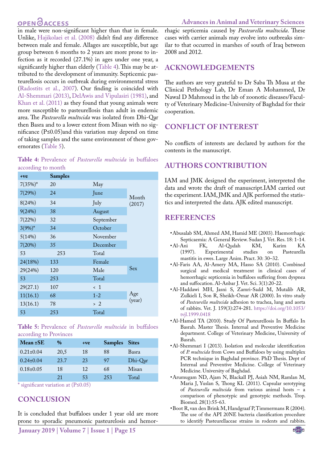### **OPEN**OACCESS

in male were non-significant higher than that in female. Unlike, [Hajikolaei et al. \(2008\)](#page-4-15) didn't find any difference between male and female. Allages are susceptible, but age group between 6 months to 2 years are more prone to infection as it recorded (27.1%) in ages under one year, a significantly higher than elderly ([Table 4\)](#page-3-6). This may be attributed to the development of immunity. Septicemic pasteurellosis occurs in outbreak during environmental stress [\(Radostits et al., 2007](#page-4-5)). Our finding is coincided with [Al-Shemmari \(2013\)](#page-3-3), [DelAwis and Vipulasiri \(1981\),](#page-4-16) and [Khan et al. \(2011\) a](#page-4-17)s they found that young animals were more susceptible to pasteurellosis than adult in endemic area. The *Pasteurella multocida* was isolated from Dhi-Qar then Basra and to a lower extent from Misan with no significance (P≤0.05)and this variation may depend on time of taking samples and the same environment of these governorates ([Table 5](#page-3-7)).

<span id="page-3-6"></span>**Table 4:** Prevalence of *Pasteurella multocida* in buffaloes according to month

| $+ve$      | <b>Samples</b> |             |                 |
|------------|----------------|-------------|-----------------|
| $7(35%)$ * | 20             | May         |                 |
| 7(29%)     | 24             | June        | Month<br>(2017) |
| 8(24%)     | 34             | July        |                 |
| 9(24%)     | 38             | August      |                 |
| 7(22%)     | 32             | September   |                 |
| $3(9%)^*$  | 34             | October     |                 |
| 5(14%)     | 36             | November    |                 |
| 7(20%)     | 35             | December    |                 |
| 53         | 253            | Total       |                 |
| 24(18%)    | 133            | Female      |                 |
| 29(24%)    | 120            | Male        | Sex             |
| 53         | 253            | Total       |                 |
| 29(27.1)   | 107            | $\langle$ 1 |                 |
| 11(16.1)   | 68             | $1 - 2$     | Age             |
| 13(16.1)   | 78             | > 2         | (year)          |
| 53         | 253            | Total       |                 |

<span id="page-3-7"></span>**Table 5:** Prevalence of *Pasteurella multocida* in buffaloes according to Provinces

| $\%$ | $+ve$ |                                                                                   |               |
|------|-------|-----------------------------------------------------------------------------------|---------------|
| 20,5 | 18    | 88                                                                                | Basra         |
| 23.7 | 23    | 97                                                                                | Dhi-Oar       |
| 18   | 12    | 68                                                                                | Misan         |
| 21   | 53    | 253                                                                               | Total         |
|      |       | $*$ at an $:\mathcal{L}$ and a constant and an $(D \times \cap \cap \mathcal{L})$ | Samples Sites |

significant variation at  $(P \le 0.05)$ 

### **CONCLUSION**

It is concluded that buffaloes under 1 year old are more prone to sporadic pneumonic pasteurelosis and hemorrhagic septicemia caused by *Pasteurella multocida*. These cases with carrier animals may evolve into outbreaks similar to that occurred in marshes of south of Iraq between 2008 and 2012.

### **ACKNOWLEDGEMENTS**

The authors are very grateful to Dr Saba Th Musa at the Clinical Pethology Lab, Dr Eman A Mohammed, Dr Nawal D Mahmoud in the lab of zoonotic diseases/Faculty of Veterinary Medicine-University of Baghdad for their cooperation.

### **CONFLICT OF INTEREST**

No conflicts of interests are declared by authors for the contents in the manuscript.

## **AUTHORS CONTRIBUTION**

IAM and JMK designed the experiment, interpreted the data and wrote the draft of manuscript.IAM carried out the experiment. IAM, JMK and AJK performed the statistics and interpreted the data. AJK edited manuscript.

### **REFERENCES**

- <span id="page-3-1"></span>• Abusalab SM, Ahmed AM, Hamid ME (2003). Haemorrhagic Septicaemia: A General Review. Sudan J. Vet. Res. 18: 1-14.
- •Al-Ani FK, Al-Qudah KM, Karim<br>(1997). Experimental studies on Pa (1997). Experimental studies on Pasteurella mastitis in ewes. Large Anim. Pract. 30: 30–32.
- <span id="page-3-4"></span>• Al-Faris AA, Al-Amery MA, Hasso SA (2010). Combined surgical and medical treatment in clinical cases of hemorrhagic septicemia in buffaloes suffering from dyspnea and suffocation. Al-Anbar J. Vet. Sci. 3(1):20-22.
- <span id="page-3-0"></span>• Al-Haddawi MH, Jasni S, Zamri-Sadd M, Mutalib AR, Zulkieli I, Son R, Sheikh-Omar AR (2000). In vitro study of *Pasteurella multocida* adhesion to trachea, lung and aorta of rabbits. Vet. J. 159(3):274-281. [https://doi.org/10.1053/](https://doi.org/10.1053/tvjl.1999.0418 ) [tvjl.1999.0418](https://doi.org/10.1053/tvjl.1999.0418 )
- <span id="page-3-2"></span>• Al-Hamed TA (2010). Study Of Pasteurellosis In Buffalo In Basrah. Master Thesis. Internal and Preventive Medicine department. College of Veterinary Medicine, University of Basrah.
- <span id="page-3-3"></span>• Al-Shemmari I (2013). Isolation and molecular identification of *P. multocida* from Cows and Buffaloes by using multiplex PCR technique in Baghdad province. PhD Thesis. Dept of Internal and Preventive Medicine. College of Veterinary Medicine. University of Baghdad.
- • Arumugam ND, Ajam N, Blackall PJ, Asiah NM, Ramlan M, Maria J, Yuslan S, Thong KL (2011). Capsular serotyping of *Pasteurella multocida* from various animal hosts – a comparison of phenotypic and genotypic methods. Trop. Biomed. 28(1):55-63.
- <span id="page-3-5"></span>• Boot R, van den Brink M, Handgraaf P, Timmermans R (2004). The use of the API 20NE bacteria classification procedure to identify Pasteurellaceae strains in rodents and rabbits.